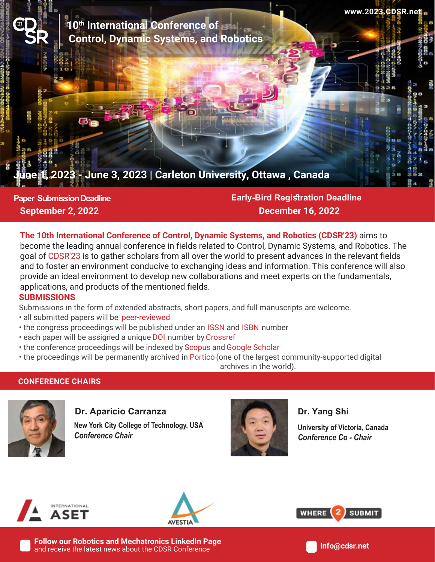<sup>23</sup> **10th International Conference of Control, Dynamic Systems, and Robotics**

# **June 3, 2023 | Carleton University, Ottawa, Canada**

**Paper Submission Deadline September 2, 2022**

**Early-Bird Registration Deadline December 16, 2022**

**The 10th International Conference of Control, Dynamic Systems, and Robotics (CDSR'23)** aims to become the leading annual conference in fields related to Control, Dynamic Systems, and Robotics. The goal of CDSR'23 is to gather scholars from all over the world to present advances in the relevant fields and to foster an environment conducive to exchanging ideas and information. This conference will also provide an ideal environment to develop new collaborations and meet experts on the fundamentals, applications, and products of the mentioned fields.

### **SUBMISSIONS**

Submissions in the form of extended abstracts, short papers, and full manuscripts are welcome.

- all submitted papers will be peer-reviewed
- the congress proceedings will be published under an ISSN and ISBN number
- each paper will be assigned a unique DOI number by Crossref
- the conference proceedings will be indexed by Scopus and Google Scholar
- the proceedings will be permanently archived in Portico (one of the largest community-supported digital

archives in the world).

## **CONFERENCE CHAIRS**



### **Dr. Aparicio Carranza**

 *Conference Chair* **New York City College of Technology, USA**



**Dr. Yang Shi**

 *Conference Co - Chair* **University of Victoria, Canada**

**www.2023.CDSR.net**





**WHERE SUBMIT** 

**Follow our Robotics and Mechatronics LinkedIn Page**  and receive the latest news about the CDSR Conference

**info@cdsr.net**